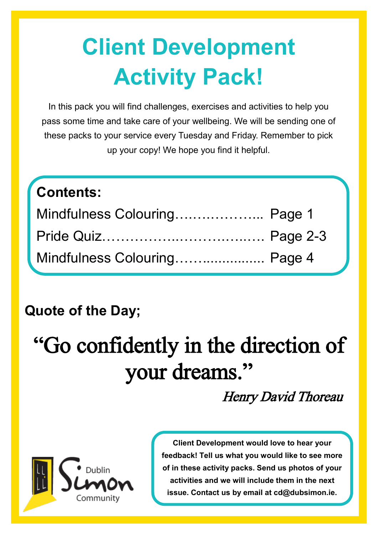# **Client Development Activity Pack!**

In this pack you will find challenges, exercises and activities to help you pass some time and take care of your wellbeing. We will be sending one of these packs to your service every Tuesday and Friday. Remember to pick up your copy! We hope you find it helpful.

#### **Contents:**

| Mindfulness Colouring Page 1 |  |
|------------------------------|--|
|                              |  |
| Mindfulness Colouring Page 4 |  |

### **Quote of the Day;**

## "Go confidently in the direction of your dreams."

Henry David Thoreau



**Client Development would love to hear your feedback! Tell us what you would like to see more of in these activity packs. Send us photos of your activities and we will include them in the next issue. Contact us by email at cd@dubsimon.ie.**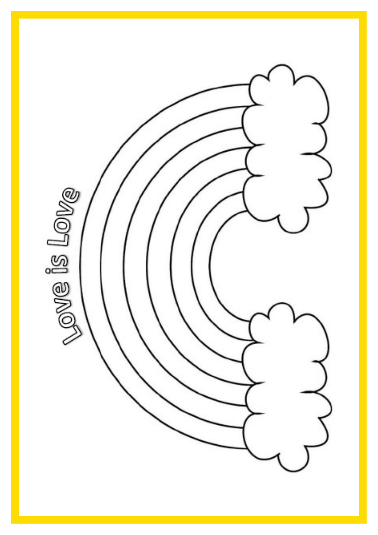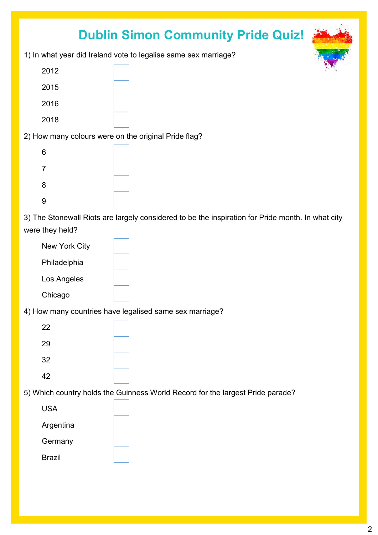#### **Dublin Simon Community Pride Quiz!**

1) In what year did Ireland vote to legalise same sex marriage?

| 2012 |  |
|------|--|
| 2015 |  |
| 2016 |  |
| 2018 |  |
|      |  |

2) How many colours were on the original Pride flag?

| $\,6$          |  |
|----------------|--|
| $\overline{7}$ |  |
| 8              |  |
| 9              |  |

3) The Stonewall Riots are largely considered to be the inspiration for Pride month. In what city were they held?

| New York City |  |
|---------------|--|
| Philadelphia  |  |
| Los Angeles   |  |
| Chicago       |  |

4) How many countries have legalised same sex marriage?

| 22 |  |
|----|--|
| 29 |  |
| 32 |  |
| 42 |  |

5) Which country holds the Guinness World Record for the largest Pride parade?

| USA       |  |
|-----------|--|
| Argentina |  |
| Germany   |  |
| Brazil    |  |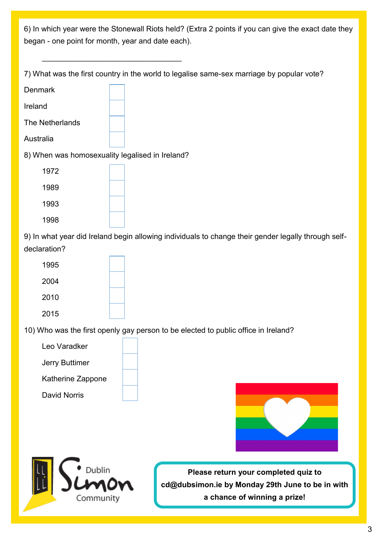6) In which year were the Stonewall Riots held? (Extra 2 points if you can give the exact date they began - one point for month, year and date each).

7) What was the first country in the world to legalise same-sex marriage by popular vote?

| <b>Denmark</b>                                  |  |
|-------------------------------------------------|--|
| Ireland                                         |  |
| The Netherlands                                 |  |
| Australia                                       |  |
| 8) When was homosexuality legalised in Ireland? |  |
| 1972                                            |  |
| 1989                                            |  |
| 1993                                            |  |
|                                                 |  |

 $\mathcal{L}=\{1,2,3,4,5\}$ 

1998

9) In what year did Ireland begin allowing individuals to change their gender legally through selfdeclaration?

| 1995 |  |
|------|--|
| 2004 |  |
| 2010 |  |
| 2015 |  |

10) Who was the first openly gay person to be elected to public office in Ireland?

Leo Varadker

Jerry Buttimer

Katherine Zappone





**Please return your completed quiz to cd@dubsimon.ie by Monday 29th June to be in with a chance of winning a prize!**